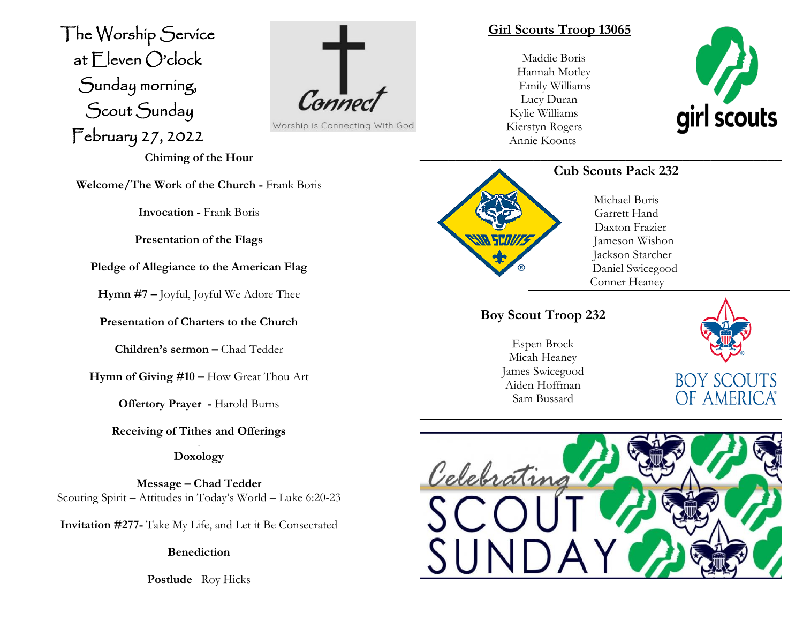The Worship Service at Eleven O'clock Sunday morning, Scout Sunday February 27, 2022 J



Worship is Connecting With God

**Chiming of the Hour**

**Welcome/The Work of the Church -** Frank Boris

**Invocation -** Frank Boris

**Presentation of the Flags**

**Pledge of Allegiance to the American Flag**

**Hymn #7 –** Joyful, Joyful We Adore Thee

**Presentation of Charters to the Church**

**Children's sermon –** Chad Tedder

**Hymn of Giving #10 –** How Great Thou Art

**Offertory Prayer -** Harold Burns

**Receiving of Tithes and Offerings** .

**Doxology**

**Message – Chad Tedder** Scouting Spirit – Attitudes in Today's World – Luke 6:20-23

**Invitation #277-** Take My Life, and Let it Be Consecrated

**Benediction**

**Postlude** Roy Hicks

#### **Girl Scouts Troop 13065**

Maddie Boris Hannah Motley Emily Williams Lucy Duran Kylie Williams Kierstyn Rogers Annie Koonts





## **Cub Scouts Pack 232**

**\_\_\_\_\_\_\_\_\_\_\_\_\_\_\_\_\_\_\_\_\_\_\_\_\_\_\_\_\_\_\_\_\_\_\_\_\_\_\_\_\_\_\_\_\_\_\_\_\_\_\_**

Michael Boris Garrett Hand Daxton Frazier Jameson Wishon Jackson Starcher Daniel Swicegood Conner Heaney

# **Boy Scout Troop 232**

Espen Brock Micah Heaney James Swicegood Aiden Hoffman Sam Bussard



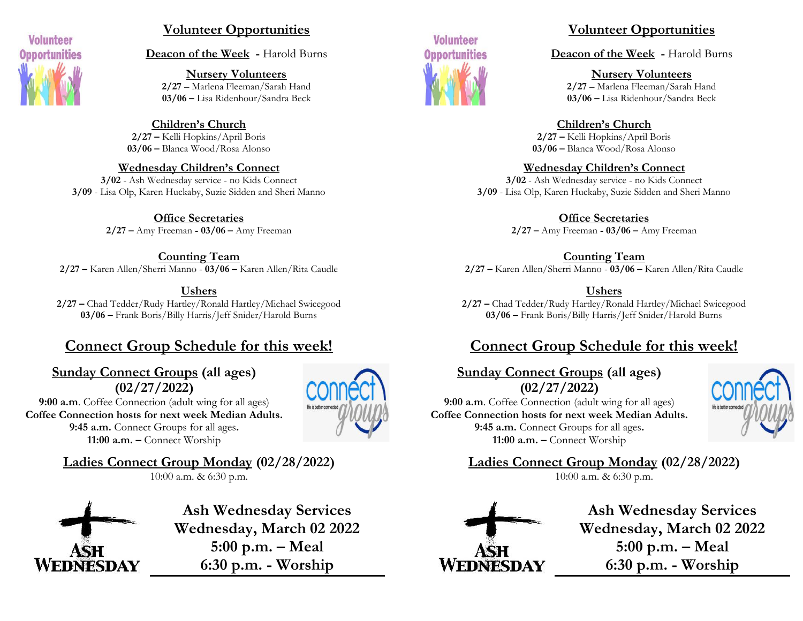

# **Volunteer Opportunities**

**Deacon of the Week -** Harold Burns

**Nursery Volunteers 2/27** – Marlena Fleeman/Sarah Hand **03/06 –** Lisa Ridenhour/Sandra Beck

**Children's Church 2/27 –** Kelli Hopkins/April Boris **03/06 –** Blanca Wood/Rosa Alonso

**Wednesday Children's Connect 3/02** - Ash Wednesday service - no Kids Connect **3/09** - Lisa Olp, Karen Huckaby, Suzie Sidden and Sheri Manno

> **Office Secretaries 2/27 –** Amy Freeman **- 03/06 –** Amy Freeman

**Counting Team 2/27 –** Karen Allen/Sherri Manno - **03/06 –** Karen Allen/Rita Caudle

**Ushers 2/27 –** Chad Tedder/Rudy Hartley/Ronald Hartley/Michael Swicegood **03/06 –** Frank Boris/Billy Harris/Jeff Snider/Harold Burns

# **Connect Group Schedule for this week!**

# **Sunday Connect Groups (all ages) (02/27/2022)**

**9:00 a.m**. Coffee Connection (adult wing for all ages) **Coffee Connection hosts for next week Median Adults. 9:45 a.m.** Connect Groups for all ages**. 11:00 a.m. –** Connect Worship



**Ladies Connect Group Monday (02/28/2022)**

10:00 a.m. & 6:30 p.m.



**Ash Wednesday Services Wednesday, March 02 2022 5:00 p.m. – Meal 6:30 p.m. - Worship**



# **Volunteer Opportunities**

**Deacon of the Week -** Harold Burns

**Nursery Volunteers 2/27** – Marlena Fleeman/Sarah Hand **03/06 –** Lisa Ridenhour/Sandra Beck

**Children's Church 2/27 –** Kelli Hopkins/April Boris **03/06 –** Blanca Wood/Rosa Alonso

**Wednesday Children's Connect**

**3/02** - Ash Wednesday service - no Kids Connect **3/09** - Lisa Olp, Karen Huckaby, Suzie Sidden and Sheri Manno

> **Office Secretaries 2/27 –** Amy Freeman **- 03/06 –** Amy Freeman

**Counting Team 2/27 –** Karen Allen/Sherri Manno - **03/06 –** Karen Allen/Rita Caudle

**Ushers 2/27 –** Chad Tedder/Rudy Hartley/Ronald Hartley/Michael Swicegood **03/06 –** Frank Boris/Billy Harris/Jeff Snider/Harold Burns

# **Connect Group Schedule for this week!**

**Sunday Connect Groups (all ages) (02/27/2022) 9:00 a.m**. Coffee Connection (adult wing for all ages) **Coffee Connection hosts for next week Median Adults. 9:45 a.m.** Connect Groups for all ages**. 11:00 a.m. –** Connect Worship



**Ladies Connect Group Monday (02/28/2022)**

10:00 a.m. & 6:30 p.m.



**Ash Wednesday Services Wednesday, March 02 2022 5:00 p.m. – Meal 6:30 p.m. - Worship**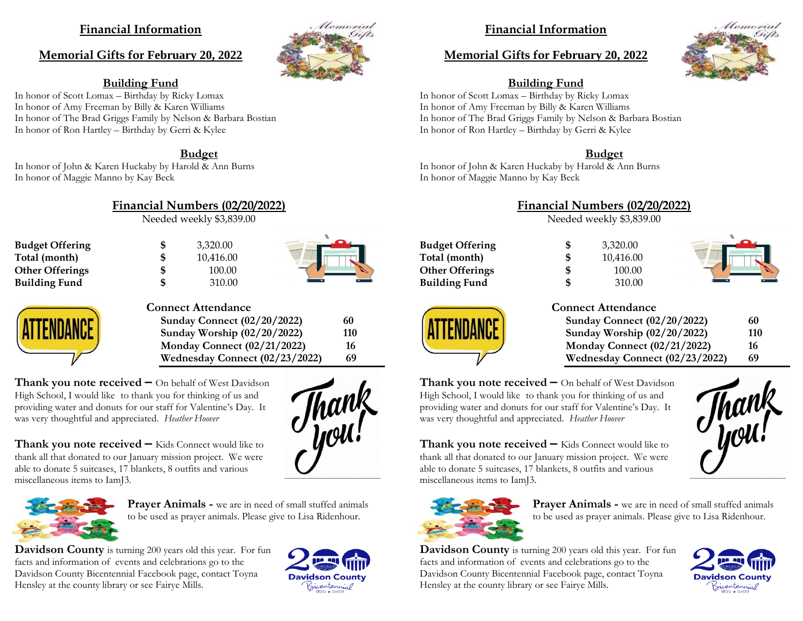## **Financial Information**

#### **Memorial Gifts for February 20, 2022**

#### **Building Fund**

In honor of Scott Lomax – Birthday by Ricky Lomax In honor of Amy Freeman by Billy & Karen Williams In honor of The Brad Griggs Family by Nelson & Barbara Bostian In honor of Ron Hartley – Birthday by Gerri & Kylee

#### **Budget**

In honor of John & Karen Huckaby by Harold & Ann Burns In honor of Maggie Manno by Kay Beck

**Financial Numbers (02/20/2022)**

Needed weekly \$3,839.00

**Budget Offering**  $\begin{array}{ccc} 6 & 3,320.00 \\ \text{Total (month)} & 8 & 10,416.00 \end{array}$ **Total (month) \$** 10,416.00 **Other Offerings \$** 100.00 **Building Fund \$** 310.00



Memorial



#### **Connect Attendance**

**Sunday Connect (02/20/2022) 60 Sunday Worship (02/20/2022) 110 Monday Connect (02/21/2022) 16 Wednesday Connect (02/23/2022) 69**

**Thank you note received –** On behalf of West Davidson High School, I would like to thank you for thinking of us and providing water and donuts for our staff for Valentine's Day. It was very thoughtful and appreciated. *Heather Hoover*

**Thank you note received –** Kids Connect would like to thank all that donated to our January mission project. We were able to donate 5 suitcases, 17 blankets, 8 outfits and various miscellaneous items to IamJ3.



**Prayer Animals -** we are in need of small stuffed animals to be used as prayer animals. Please give to Lisa Ridenhour.

**Davidson County** is turning 200 years old this year. For fun facts and information of events and celebrations go to the Davidson County Bicentennial Facebook page, contact Toyna Hensley at the county library or see Fairye Mills.



## **Financial Information**

#### **Memorial Gifts for February 20, 2022**



## **Building Fund**

In honor of Scott Lomax – Birthday by Ricky Lomax In honor of Amy Freeman by Billy & Karen Williams In honor of The Brad Griggs Family by Nelson & Barbara Bostian In honor of Ron Hartley – Birthday by Gerri & Kylee

#### **Budget**

In honor of John & Karen Huckaby by Harold & Ann Burns In honor of Maggie Manno by Kay Beck

#### **Financial Numbers (02/20/2022)**

Needed weekly \$3,839.00

| <b>Budget Offering</b> |
|------------------------|
| Total (month)          |
| <b>Other Offerings</b> |
| <b>Building Fund</b>   |





#### **Connect Attendance**

| 60  |  |
|-----|--|
| 110 |  |
| 16  |  |
| 69  |  |
|     |  |

**Thank you note received –** On behalf of West Davidson High School, I would like to thank you for thinking of us and providing water and donuts for our staff for Valentine's Day. It was very thoughtful and appreciated. *Heather Hoover*

**Thank you note received –** Kids Connect would like to thank all that donated to our January mission project. We were able to donate 5 suitcases, 17 blankets, 8 outfits and various miscellaneous items to IamJ3.



**Prayer Animals -** we are in need of small stuffed animals to be used as prayer animals. Please give to Lisa Ridenhour.

**Davidson County** is turning 200 years old this year. For fun facts and information of events and celebrations go to the Davidson County Bicentennial Facebook page, contact Toyna Hensley at the county library or see Fairye Mills.